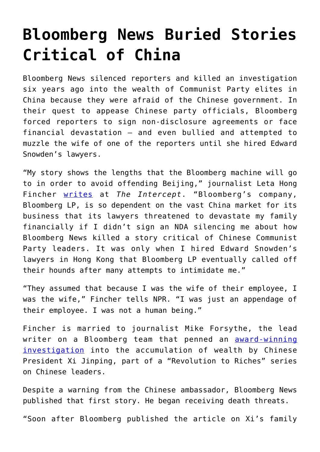## **[Bloomberg News Buried Stories](https://intellectualtakeout.org/2020/04/bloomberg-news-buried-stories-critical-of-china/) [Critical of China](https://intellectualtakeout.org/2020/04/bloomberg-news-buried-stories-critical-of-china/)**

Bloomberg News silenced reporters and killed an investigation six years ago into the wealth of Communist Party elites in China because they were afraid of the Chinese government. In their quest to appease Chinese party officials, Bloomberg forced reporters to sign non-disclosure agreements or face financial devastation – and even bullied and attempted to muzzle the wife of one of the reporters until she hired Edward Snowden's lawyers.

"My story shows the lengths that the Bloomberg machine will go to in order to avoid offending Beijing," journalist Leta Hong Fincher [writes](https://theintercept.com/2020/02/18/mike-bloomberg-lp-nda-china/) at *The Intercept*. "Bloomberg's company, Bloomberg LP, is so dependent on the vast China market for its business that its lawyers threatened to devastate my family financially if I didn't sign an NDA silencing me about how Bloomberg News killed a story critical of Chinese Communist Party leaders. It was only when I hired Edward Snowden's lawyers in Hong Kong that Bloomberg LP eventually called off their hounds after many attempts to intimidate me."

"They assumed that because I was the wife of their employee, I was the wife," Fincher tells NPR. "I was just an appendage of their employee. I was not a human being."

Fincher is married to journalist Mike Forsythe, the lead writer on a Bloomberg team that penned an **[award-winning](https://www.bloomberg.com/news/articles/2012-06-29/xi-jinping-millionaire-relations-reveal-fortunes-of-elite)** [investigation](https://www.bloomberg.com/news/articles/2012-06-29/xi-jinping-millionaire-relations-reveal-fortunes-of-elite) into the accumulation of wealth by Chinese President Xi Jinping, part of a "Revolution to Riches" series on Chinese leaders.

Despite a warning from the Chinese ambassador, Bloomberg News published that first story. He began receiving death threats.

"Soon after Bloomberg published the article on Xi's family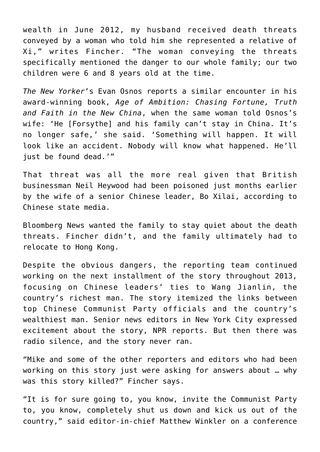wealth in June 2012, my husband received death threats conveyed by a woman who told him she represented a relative of Xi," writes Fincher. "The woman conveying the threats specifically mentioned the danger to our whole family; our two children were 6 and 8 years old at the time.

*The New Yorker*'s Evan Osnos reports a similar encounter in his award-winning book, *Age of Ambition: Chasing Fortune, Truth and Faith in the New China*, when the same woman told Osnos's wife: 'He [Forsythe] and his family can't stay in China. It's no longer safe,' she said. 'Something will happen. It will look like an accident. Nobody will know what happened. He'll just be found dead.'"

That threat was all the more real given that British businessman Neil Heywood had been poisoned just months earlier by the wife of a senior Chinese leader, Bo Xilai, according to Chinese state media.

Bloomberg News wanted the family to stay quiet about the death threats. Fincher didn't, and the family ultimately had to relocate to Hong Kong.

Despite the obvious dangers, the reporting team continued working on the next installment of the story throughout 2013, focusing on Chinese leaders' ties to Wang Jianlin, the country's richest man. The story itemized the links between top Chinese Communist Party officials and the country's wealthiest man. Senior news editors in New York City expressed excitement about the story, NPR reports. But then there was radio silence, and the story never ran.

"Mike and some of the other reporters and editors who had been working on this story just were asking for answers about … why was this story killed?" Fincher says.

"It is for sure going to, you know, invite the Communist Party to, you know, completely shut us down and kick us out of the country," said editor-in-chief Matthew Winkler on a conference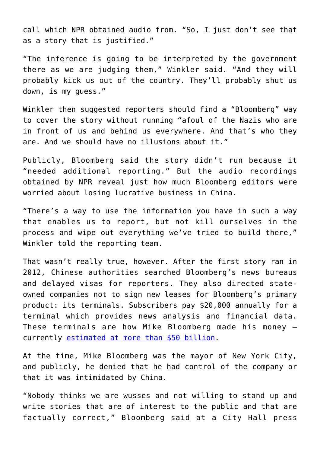call which NPR obtained audio from. "So, I just don't see that as a story that is justified."

"The inference is going to be interpreted by the government there as we are judging them," Winkler said. "And they will probably kick us out of the country. They'll probably shut us down, is my guess."

Winkler then suggested reporters should find a "Bloomberg" way to cover the story without running "afoul of the Nazis who are in front of us and behind us everywhere. And that's who they are. And we should have no illusions about it."

Publicly, Bloomberg said the story didn't run because it "needed additional reporting." But the audio recordings obtained by NPR reveal just how much Bloomberg editors were worried about losing lucrative business in China.

"There's a way to use the information you have in such a way that enables us to report, but not kill ourselves in the process and wipe out everything we've tried to build there," Winkler told the reporting team.

That wasn't really true, however. After the first story ran in 2012, Chinese authorities searched Bloomberg's news bureaus and delayed visas for reporters. They also directed stateowned companies not to sign new leases for Bloomberg's primary product: its terminals. Subscribers pay \$20,000 annually for a terminal which provides news analysis and financial data. These terminals are how Mike Bloomberg made his money – currently [estimated at more than \\$50 billion](https://www.forbes.com/profile/michael-bloomberg/#2dc362161417).

At the time, Mike Bloomberg was the mayor of New York City, and publicly, he denied that he had control of the company or that it was intimidated by China.

"Nobody thinks we are wusses and not willing to stand up and write stories that are of interest to the public and that are factually correct," Bloomberg said at a City Hall press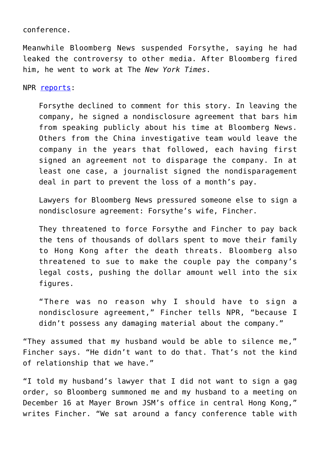conference.

Meanwhile Bloomberg News suspended Forsythe, saying he had leaked the controversy to other media. After Bloomberg fired him, he went to work at The *New York Times*.

NPR [reports:](https://www.npr.org/2020/04/14/828565428/bloomberg-news-killed-investigation-fired-reporter-then-sought-to-silence-his-wi?utm_campaign=storyshare&utm_source=facebook.com&utm_medium=social)

Forsythe declined to comment for this story. In leaving the company, he signed a nondisclosure agreement that bars him from speaking publicly about his time at Bloomberg News. Others from the China investigative team would leave the company in the years that followed, each having first signed an agreement not to disparage the company. In at least one case, a journalist signed the nondisparagement deal in part to prevent the loss of a month's pay.

Lawyers for Bloomberg News pressured someone else to sign a nondisclosure agreement: Forsythe's wife, Fincher.

They threatened to force Forsythe and Fincher to pay back the tens of thousands of dollars spent to move their family to Hong Kong after the death threats. Bloomberg also threatened to sue to make the couple pay the company's legal costs, pushing the dollar amount well into the six figures.

"There was no reason why I should have to sign a nondisclosure agreement," Fincher tells NPR, "because I didn't possess any damaging material about the company."

"They assumed that my husband would be able to silence me," Fincher says. "He didn't want to do that. That's not the kind of relationship that we have."

"I told my husband's lawyer that I did not want to sign a gag order, so Bloomberg summoned me and my husband to a meeting on December 16 at Mayer Brown JSM's office in central Hong Kong," writes Fincher. "We sat around a fancy conference table with